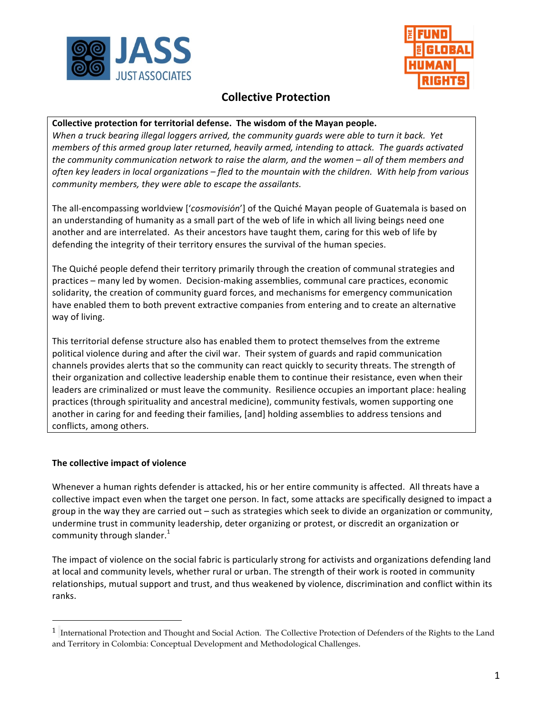



# **Collective Protection**

### Collective protection for territorial defense. The wisdom of the Mayan people.

*When* a truck bearing illegal loggers arrived, the community quards were able to turn it back. Yet *members* of this armed group later returned, heavily armed, intending to attack. The guards activated the community communication network to raise the alarm, and the women – all of them members and often key leaders in local organizations – fled to the mountain with the children. With help from various *community members, they were able to escape the assailants.* 

The all-encompassing worldview ['cosmovisión'] of the Quiché Mayan people of Guatemala is based on an understanding of humanity as a small part of the web of life in which all living beings need one another and are interrelated. As their ancestors have taught them, caring for this web of life by defending the integrity of their territory ensures the survival of the human species.

The Quiché people defend their territory primarily through the creation of communal strategies and practices – many led by women. Decision-making assemblies, communal care practices, economic solidarity, the creation of community guard forces, and mechanisms for emergency communication have enabled them to both prevent extractive companies from entering and to create an alternative way of living.

This territorial defense structure also has enabled them to protect themselves from the extreme political violence during and after the civil war. Their system of guards and rapid communication channels provides alerts that so the community can react quickly to security threats. The strength of their organization and collective leadership enable them to continue their resistance, even when their leaders are criminalized or must leave the community. Resilience occupies an important place: healing practices (through spirituality and ancestral medicine), community festivals, women supporting one another in caring for and feeding their families, [and] holding assemblies to address tensions and conflicts, among others.

#### **The collective impact of violence**

 

Whenever a human rights defender is attacked, his or her entire community is affected. All threats have a collective impact even when the target one person. In fact, some attacks are specifically designed to impact a group in the way they are carried out – such as strategies which seek to divide an organization or community, undermine trust in community leadership, deter organizing or protest, or discredit an organization or community through slander. $<sup>1</sup>$ </sup>

The impact of violence on the social fabric is particularly strong for activists and organizations defending land at local and community levels, whether rural or urban. The strength of their work is rooted in community relationships, mutual support and trust, and thus weakened by violence, discrimination and conflict within its ranks.

<sup>1</sup> International Protection and Thought and Social Action. The Collective Protection of Defenders of the Rights to the Land and Territory in Colombia: Conceptual Development and Methodological Challenges.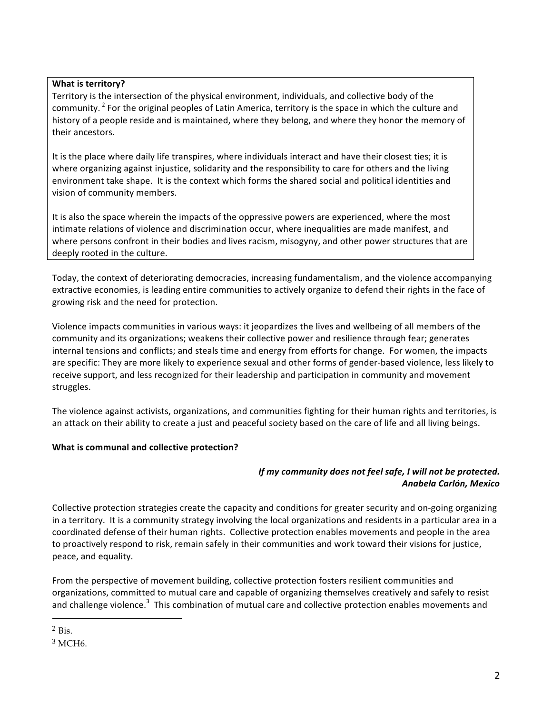## **What is territory?**

Territory is the intersection of the physical environment, individuals, and collective body of the community. <sup>2</sup> For the original peoples of Latin America, territory is the space in which the culture and history of a people reside and is maintained, where they belong, and where they honor the memory of their ancestors.

It is the place where daily life transpires, where individuals interact and have their closest ties; it is where organizing against injustice, solidarity and the responsibility to care for others and the living environment take shape. It is the context which forms the shared social and political identities and vision of community members.

It is also the space wherein the impacts of the oppressive powers are experienced, where the most intimate relations of violence and discrimination occur, where inequalities are made manifest, and where persons confront in their bodies and lives racism, misogyny, and other power structures that are deeply rooted in the culture.

Today, the context of deteriorating democracies, increasing fundamentalism, and the violence accompanying extractive economies, is leading entire communities to actively organize to defend their rights in the face of growing risk and the need for protection.

Violence impacts communities in various ways: it jeopardizes the lives and wellbeing of all members of the community and its organizations; weakens their collective power and resilience through fear; generates internal tensions and conflicts; and steals time and energy from efforts for change. For women, the impacts are specific: They are more likely to experience sexual and other forms of gender-based violence, less likely to receive support, and less recognized for their leadership and participation in community and movement struggles.

The violence against activists, organizations, and communities fighting for their human rights and territories, is an attack on their ability to create a just and peaceful society based on the care of life and all living beings.

# **What is communal and collective protection?**

# *If my community does not feel safe, I will not be protected. Anabela Carlón, Mexico*

Collective protection strategies create the capacity and conditions for greater security and on-going organizing in a territory. It is a community strategy involving the local organizations and residents in a particular area in a coordinated defense of their human rights. Collective protection enables movements and people in the area to proactively respond to risk, remain safely in their communities and work toward their visions for justice, peace, and equality.

From the perspective of movement building, collective protection fosters resilient communities and organizations, committed to mutual care and capable of organizing themselves creatively and safely to resist and challenge violence.<sup>3</sup> This combination of mutual care and collective protection enables movements and

 

 $2$  Bis.

 $3 \text{MCH}6$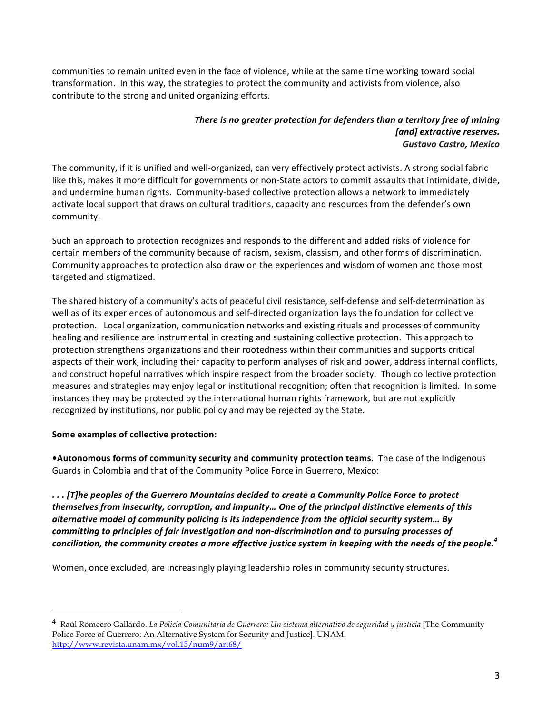communities to remain united even in the face of violence, while at the same time working toward social transformation. In this way, the strategies to protect the community and activists from violence, also contribute to the strong and united organizing efforts.

#### *There is no greater protection for defenders than a territory free of mining* [and] extractive reserves. *Gustavo Castro, Mexico*

The community, if it is unified and well-organized, can very effectively protect activists. A strong social fabric like this, makes it more difficult for governments or non-State actors to commit assaults that intimidate, divide, and undermine human rights. Community-based collective protection allows a network to immediately activate local support that draws on cultural traditions, capacity and resources from the defender's own community. 

Such an approach to protection recognizes and responds to the different and added risks of violence for certain members of the community because of racism, sexism, classism, and other forms of discrimination. Community approaches to protection also draw on the experiences and wisdom of women and those most targeted and stigmatized.

The shared history of a community's acts of peaceful civil resistance, self-defense and self-determination as well as of its experiences of autonomous and self-directed organization lays the foundation for collective protection. Local organization, communication networks and existing rituals and processes of community healing and resilience are instrumental in creating and sustaining collective protection. This approach to protection strengthens organizations and their rootedness within their communities and supports critical aspects of their work, including their capacity to perform analyses of risk and power, address internal conflicts, and construct hopeful narratives which inspire respect from the broader society. Though collective protection measures and strategies may enjoy legal or institutional recognition; often that recognition is limited. In some instances they may be protected by the international human rights framework, but are not explicitly recognized by institutions, nor public policy and may be rejected by the State.

# **Some examples of collective protection:**

 

•Autonomous forms of community security and community protection teams. The case of the Indigenous Guards in Colombia and that of the Community Police Force in Guerrero, Mexico:

*. . . [T]he peoples of the Guerrero Mountains decided to create a Community Police Force to protect*  themselves from insecurity, corruption, and impunity... One of the principal distinctive elements of this *alternative model of community policing is its independence from the official security system... By committing to principles of fair investigation and non-discrimination and to pursuing processes of conciliation, the community creates a more effective justice system in keeping with the needs of the people.*<sup>4</sup>

Women, once excluded, are increasingly playing leadership roles in community security structures.

<sup>4</sup> Raúl Romeero Gallardo. *La Policía Comunitaria de Guerrero: Un sistema alternativo de seguridad y justicia* [The Community Police Force of Guerrero: An Alternative System for Security and Justice]. UNAM. http://www.revista.unam.mx/vol.15/num9/art68/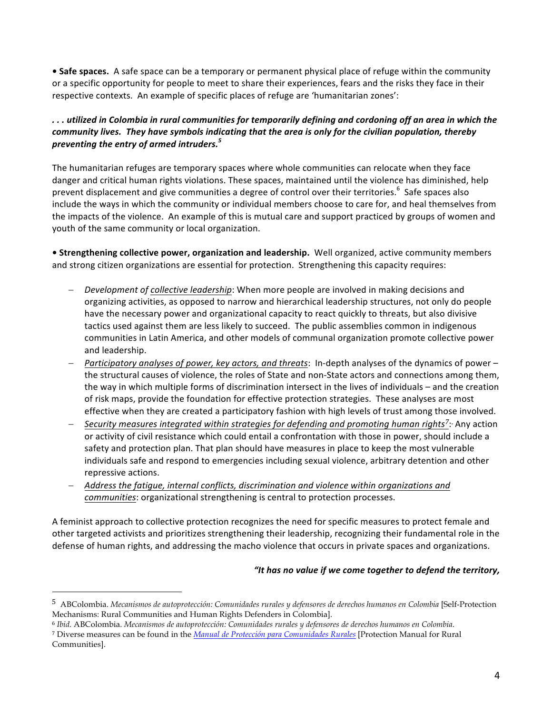• Safe spaces. A safe space can be a temporary or permanent physical place of refuge within the community or a specific opportunity for people to meet to share their experiences, fears and the risks they face in their respective contexts. An example of specific places of refuge are 'humanitarian zones':

# *. . . utilized in Colombia in rural communities for temporarily defining and cordoning off an area in which the community lives. They have symbols indicating that the area is only for the civilian population, thereby* preventing the entry of armed intruders.<sup>5</sup>

The humanitarian refuges are temporary spaces where whole communities can relocate when they face danger and critical human rights violations. These spaces, maintained until the violence has diminished, help prevent displacement and give communities a degree of control over their territories. $^6$  Safe spaces also include the ways in which the community or individual members choose to care for, and heal themselves from the impacts of the violence. An example of this is mutual care and support practiced by groups of women and youth of the same community or local organization.

**• Strengthening collective power, organization and leadership.** Well organized, active community members and strong citizen organizations are essential for protection. Strengthening this capacity requires:

- *Development of collective leadership*: When more people are involved in making decisions and organizing activities, as opposed to narrow and hierarchical leadership structures, not only do people have the necessary power and organizational capacity to react quickly to threats, but also divisive tactics used against them are less likely to succeed. The public assemblies common in indigenous communities in Latin America, and other models of communal organization promote collective power and leadership.
- Participatory analyses of power, key actors, and threats: In-depth analyses of the dynamics of power the structural causes of violence, the roles of State and non-State actors and connections among them, the way in which multiple forms of discrimination intersect in the lives of individuals – and the creation of risk maps, provide the foundation for effective protection strategies. These analyses are most effective when they are created a participatory fashion with high levels of trust among those involved.
- *Security measures integrated within strategies for defending and promoting human rights<sup>7</sup>: Any action* or activity of civil resistance which could entail a confrontation with those in power, should include a safety and protection plan. That plan should have measures in place to keep the most vulnerable individuals safe and respond to emergencies including sexual violence, arbitrary detention and other repressive actions.
- Address the fatigue, internal conflicts, discrimination and violence within organizations and *communities*: organizational strengthening is central to protection processes.

A feminist approach to collective protection recognizes the need for specific measures to protect female and other targeted activists and prioritizes strengthening their leadership, recognizing their fundamental role in the defense of human rights, and addressing the macho violence that occurs in private spaces and organizations.

#### "It has no value if we come together to defend the territory,

 

<sup>5</sup> ABColombia. *Mecanismos de autoprotección: Comunidades rurales y defensores de derechos humanos en Colombia* [Self-Protection Mechanisms: Rural Communities and Human Rights Defenders in Colombia].

<sup>6</sup> *Ibid.* ABColombia. *Mecanismos de autoprotección: Comunidades rurales y defensores de derechos humanos en Colombia*.

<sup>7</sup> Diverse measures can be found in the *Manual de Protección para Comunidades Rurales* [Protection Manual for Rural Communities].